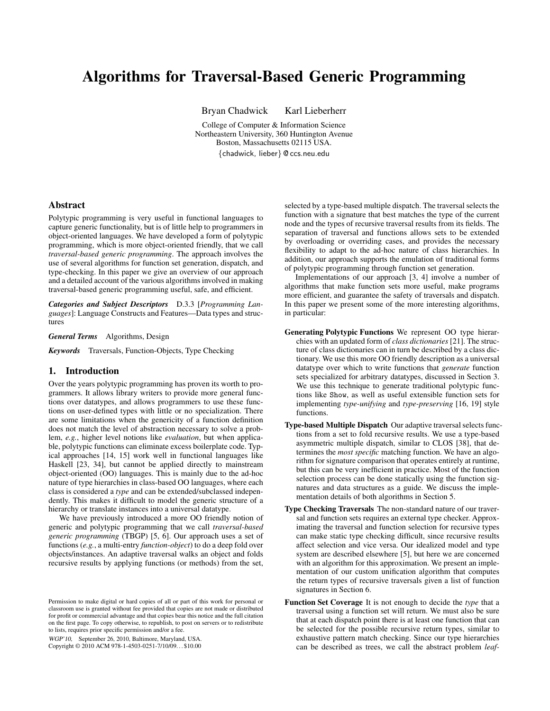# Algorithms for Traversal-Based Generic Programming

Bryan Chadwick Karl Lieberherr

College of Computer & Information Science Northeastern University, 360 Huntington Avenue Boston, Massachusetts 02115 USA. {chadwick, lieber} @ ccs.neu.edu

# Abstract

Polytypic programming is very useful in functional languages to capture generic functionality, but is of little help to programmers in object-oriented languages. We have developed a form of polytypic programming, which is more object-oriented friendly, that we call *traversal-based generic programming*. The approach involves the use of several algorithms for function set generation, dispatch, and type-checking. In this paper we give an overview of our approach and a detailed account of the various algorithms involved in making traversal-based generic programming useful, safe, and efficient.

*Categories and Subject Descriptors* D.3.3 [*Programming Languages*]: Language Constructs and Features—Data types and structures

*General Terms* Algorithms, Design

*Keywords* Traversals, Function-Objects, Type Checking

#### 1. Introduction

Over the years polytypic programming has proven its worth to programmers. It allows library writers to provide more general functions over datatypes, and allows programmers to use these functions on user-defined types with little or no specialization. There are some limitations when the genericity of a function definition does not match the level of abstraction necessary to solve a problem, *e.g.*, higher level notions like *evaluation*, but when applicable, polytypic functions can eliminate excess boilerplate code. Typical approaches [14, 15] work well in functional languages like Haskell [23, 34], but cannot be applied directly to mainstream object-oriented (OO) languages. This is mainly due to the ad-hoc nature of type hierarchies in class-based OO languages, where each class is considered a *type* and can be extended/subclassed independently. This makes it difficult to model the generic structure of a hierarchy or translate instances into a universal datatype.

We have previously introduced a more OO friendly notion of generic and polytypic programming that we call *traversal-based generic programming* (TBGP) [5, 6]. Our approach uses a set of functions (*e.g.*, a multi-entry *function-object*) to do a deep fold over objects/instances. An adaptive traversal walks an object and folds recursive results by applying functions (or methods) from the set,

WGP'10, September 26, 2010, Baltimore, Maryland, USA.

Copyright © 2010 ACM 978-1-4503-0251-7/10/09. . . \$10.00

selected by a type-based multiple dispatch. The traversal selects the function with a signature that best matches the type of the current node and the types of recursive traversal results from its fields. The separation of traversal and functions allows sets to be extended by overloading or overriding cases, and provides the necessary flexibility to adapt to the ad-hoc nature of class hierarchies. In addition, our approach supports the emulation of traditional forms of polytypic programming through function set generation.

Implementations of our approach [3, 4] involve a number of algorithms that make function sets more useful, make programs more efficient, and guarantee the safety of traversals and dispatch. In this paper we present some of the more interesting algorithms, in particular:

- Generating Polytypic Functions We represent OO type hierarchies with an updated form of *class dictionaries* [21]. The structure of class dictionaries can in turn be described by a class dictionary. We use this more OO friendly description as a universal datatype over which to write functions that *generate* function sets specialized for arbitrary datatypes, discussed in Section 3. We use this technique to generate traditional polytypic functions like Show, as well as useful extensible function sets for implementing *type-unifying* and *type-preserving* [16, 19] style functions.
- Type-based Multiple Dispatch Our adaptive traversal selects functions from a set to fold recursive results. We use a type-based asymmetric multiple dispatch, similar to CLOS [38], that determines the *most specific* matching function. We have an algorithm for signature comparison that operates entirely at runtime, but this can be very inefficient in practice. Most of the function selection process can be done statically using the function signatures and data structures as a guide. We discuss the implementation details of both algorithms in Section 5.
- Type Checking Traversals The non-standard nature of our traversal and function sets requires an external type checker. Approximating the traversal and function selection for recursive types can make static type checking difficult, since recursive results affect selection and vice versa. Our idealized model and type system are described elsewhere [5], but here we are concerned with an algorithm for this approximation. We present an implementation of our custom unification algorithm that computes the return types of recursive traversals given a list of function signatures in Section 6.
- Function Set Coverage It is not enough to decide the *type* that a traversal using a function set will return. We must also be sure that at each dispatch point there is at least one function that can be selected for the possible recursive return types, similar to exhaustive pattern match checking. Since our type hierarchies can be described as trees, we call the abstract problem *leaf-*

Permission to make digital or hard copies of all or part of this work for personal or classroom use is granted without fee provided that copies are not made or distributed for profit or commercial advantage and that copies bear this notice and the full citation on the first page. To copy otherwise, to republish, to post on servers or to redistribute to lists, requires prior specific permission and/or a fee.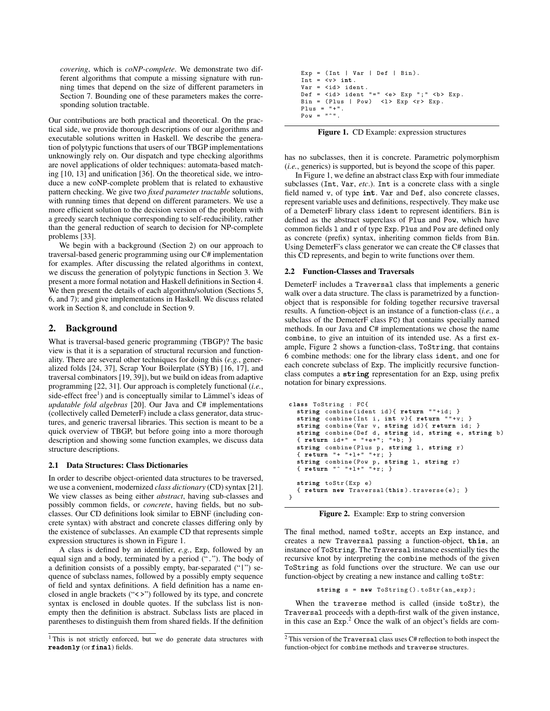*covering*, which is *coNP-complete*. We demonstrate two different algorithms that compute a missing signature with running times that depend on the size of different parameters in Section 7. Bounding one of these parameters makes the corresponding solution tractable.

Our contributions are both practical and theoretical. On the practical side, we provide thorough descriptions of our algorithms and executable solutions written in Haskell. We describe the generation of polytypic functions that users of our TBGP implementations unknowingly rely on. Our dispatch and type checking algorithms are novel applications of older techniques: automata-based matching [10, 13] and unification [36]. On the theoretical side, we introduce a new coNP-complete problem that is related to exhaustive pattern checking. We give two *fixed parameter tractable* solutions, with running times that depend on different parameters. We use a more efficient solution to the decision version of the problem with a greedy search technique corresponding to self-reducibility, rather than the general reduction of search to decision for NP-complete problems [33].

We begin with a background (Section 2) on our approach to traversal-based generic programming using our C# implementation for examples. After discussing the related algorithms in context, we discuss the generation of polytypic functions in Section 3. We present a more formal notation and Haskell definitions in Section 4. We then present the details of each algorithm/solution (Sections 5, 6, and 7); and give implementations in Haskell. We discuss related work in Section 8, and conclude in Section 9.

# 2. Background

What is traversal-based generic programming (TBGP)? The basic view is that it is a separation of structural recursion and functionality. There are several other techniques for doing this (*e.g.*, generalized folds [24, 37], Scrap Your Boilerplate (SYB) [16, 17], and traversal combinators [19, 39]), but we build on ideas from adaptive programming [22, 31]. Our approach is completely functional (*i.e.*, side-effect free $<sup>1</sup>$ ) and is conceptually similar to Lämmel's ideas of</sup> *updatable fold algebras* [20]. Our Java and C# implementations (collectively called DemeterF) include a class generator, data structures, and generic traversal libraries. This section is meant to be a quick overview of TBGP, but before going into a more thorough description and showing some function examples, we discuss data structure descriptions.

#### 2.1 Data Structures: Class Dictionaries

In order to describe object-oriented data structures to be traversed, we use a convenient, modernized *class dictionary* (CD) syntax [21]. We view classes as being either *abstract*, having sub-classes and possibly common fields, or *concrete*, having fields, but no subclasses. Our CD definitions look similar to EBNF (including concrete syntax) with abstract and concrete classes differing only by the existence of subclasses. An example CD that represents simple expression structures is shown in Figure 1.

A class is defined by an identifier, *e.g.*, Exp, followed by an equal sign and a body, terminated by a period ("."). The body of a definition consists of a possibly empty, bar-separated ("|") sequence of subclass names, followed by a possibly empty sequence of field and syntax definitions. A field definition has a name enclosed in angle brackets ("< >") followed by its type, and concrete syntax is enclosed in double quotes. If the subclass list is nonempty then the definition is abstract. Subclass lists are placed in parentheses to distinguish them from shared fields. If the definition

```
Exp = (Int | Var | Def | Bin).Int = <sub>v</sub> int.</sub>
Var = <id> ident.
var stak racho:<br>Def = <id> ident "=" <e> Exp ";" <b> Exp.
Bin = (Plus | Pow) <l> Exp < r> Exp.Plus = " +".
Pow = " ^".
```


has no subclasses, then it is concrete. Parametric polymorphism (*i.e.*, generics) is supported, but is beyond the scope of this paper.

In Figure 1, we define an abstract class Exp with four immediate subclasses (Int, Var, *etc*.). Int is a concrete class with a single field named v, of type int. Var and Def, also concrete classes, represent variable uses and definitions, respectively. They make use of a DemeterF library class ident to represent identifiers. Bin is defined as the abstract superclass of Plus and Pow, which have common fields l and r of type Exp. Plus and Pow are defined only as concrete (prefix) syntax, inheriting common fields from Bin. Using DemeterF's class generator we can create the C# classes that this CD represents, and begin to write functions over them.

#### 2.2 Function-Classes and Traversals

DemeterF includes a Traversal class that implements a generic walk over a data structure. The class is parametrized by a functionobject that is responsible for folding together recursive traversal results. A function-object is an instance of a function-class (*i.e.*, a subclass of the DemeterF class FC) that contains specially named methods. In our Java and C# implementations we chose the name combine, to give an intuition of its intended use. As a first example, Figure 2 shows a function-class, ToString, that contains 6 combine methods: one for the library class ident, and one for each concrete subclass of Exp. The implicitly recursive functionclass computes a string representation for an Exp, using prefix notation for binary expressions.

```
class ToString : FC {
  string combine (ident id) { return ""+id; }
  string combine (Int i, int v) { return ""+v; }
  string combine (Var v, string id) { return id; }
  string combine (Def d, string id, string e, string b)
  { return id + " = " + e + " ; " + b; }string combine (Plus p, string 1, string r)
  { return "+ "+1+" "+r; }
  string combine(Pow p, string 1, string r)<br>{ return "^ "+1+" "+r; }
  string toStr (Exp e)
  { return new Traversal (this).traverse(e); }
}
```


The final method, named toStr, accepts an Exp instance, and creates a new Traversal passing a function-object, this, an instance of ToString. The Traversal instance essentially ties the recursive knot by interpreting the combine methods of the given ToString as fold functions over the structure. We can use our function-object by creating a new instance and calling toStr:

string s = new ToString ().toStr(an\_exp);

When the traverse method is called (inside toStr), the Traversal proceeds with a depth-first walk of the given instance, in this case an Exp. <sup>2</sup> Once the walk of an object's fields are com-

<sup>&</sup>lt;sup>1</sup>This is not strictly enforced, but we do generate data structures with readonly (or final) fields.

 $2$  This version of the Traversal class uses C# reflection to both inspect the function-object for combine methods and traverse structures.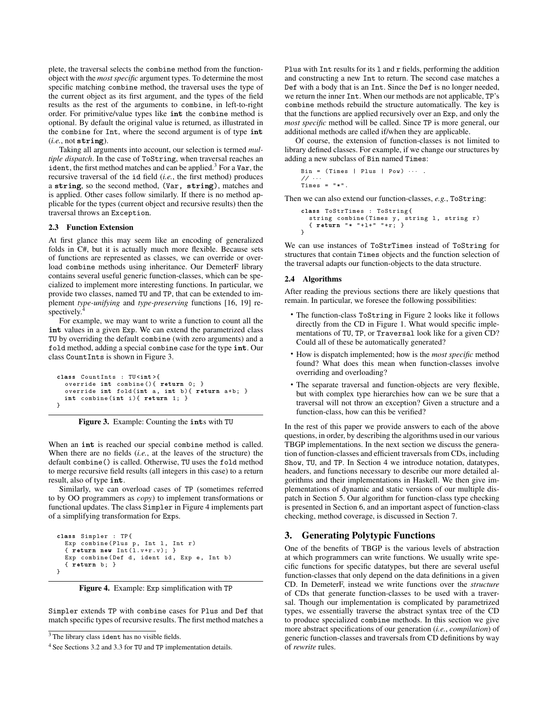plete, the traversal selects the combine method from the functionobject with the *most specific* argument types. To determine the most specific matching combine method, the traversal uses the type of the current object as its first argument, and the types of the field results as the rest of the arguments to combine, in left-to-right order. For primitive/value types like int the combine method is optional. By default the original value is returned, as illustrated in the combine for Int, where the second argument is of type int (*i.e.*, not string).

Taking all arguments into account, our selection is termed *multiple dispatch*. In the case of ToString, when traversal reaches an ident, the first method matches and can be applied.<sup>3</sup> For a Var, the recursive traversal of the id field (*i.e.*, the first method) produces a string, so the second method, (Var, string), matches and is applied. Other cases follow similarly. If there is no method applicable for the types (current object and recursive results) then the traversal throws an Exception.

#### 2.3 Function Extension

At first glance this may seem like an encoding of generalized folds in C#, but it is actually much more flexible. Because sets of functions are represented as classes, we can override or overload combine methods using inheritance. Our DemeterF library contains several useful generic function-classes, which can be specialized to implement more interesting functions. In particular, we provide two classes, named TU and TP, that can be extended to implement *type-unifying* and *type-preserving* functions [16, 19] respectively.

For example, we may want to write a function to count all the int values in a given Exp. We can extend the parametrized class TU by overriding the default combine (with zero arguments) and a fold method, adding a special combine case for the type int. Our class CountInts is shown in Figure 3.

```
class CountInts : TU <int >{
  override int combine (){ return 0; }
  override int fold (int a, int b) { return a+b; }
  int combine (int i) { return 1; }
}
```
Figure 3. Example: Counting the ints with TU

When an int is reached our special combine method is called. When there are no fields (*i.e.*, at the leaves of the structure) the default combine() is called. Otherwise, TU uses the fold method to merge recursive field results (all integers in this case) to a return result, also of type int.

Similarly, we can overload cases of TP (sometimes referred to by OO programmers as *copy*) to implement transformations or functional updates. The class Simpler in Figure 4 implements part of a simplifying transformation for Exps.

```
class Simpler : TP {
   Exp combine (Plus p, Int 1, Int r)<br>{ return new Int(1.v+r.v); }
  Exp combine (Def d, ident id, Exp e, Int b)
  { return b; }
}
```

| Figure 4. Example: Exp simplification with TP |  |  |  |
|-----------------------------------------------|--|--|--|
|                                               |  |  |  |

Simpler extends TP with combine cases for Plus and Def that match specific types of recursive results. The first method matches a Plus with Int results for its 1 and r fields, performing the addition and constructing a new Int to return. The second case matches a Def with a body that is an Int. Since the Def is no longer needed, we return the inner Int. When our methods are not applicable, TP's combine methods rebuild the structure automatically. The key is that the functions are applied recursively over an Exp, and only the *most specific* method will be called. Since TP is more general, our additional methods are called if/when they are applicable.

Of course, the extension of function-classes is not limited to library defined classes. For example, if we change our structures by adding a new subclass of Bin named Times:

```
Bin = (Times | Plus | Pow) ...11...Times = "*" .
```
Then we can also extend our function-classes, *e.g.*, ToString:

```
class ToStrTimes : ToString {
 string combine (Times y, string 1, string r)
 { return " * "+1" "+r; }
}
```
We can use instances of ToStrTimes instead of ToString for structures that contain Times objects and the function selection of the traversal adapts our function-objects to the data structure.

#### 2.4 Algorithms

After reading the previous sections there are likely questions that remain. In particular, we foresee the following possibilities:

- The function-class ToString in Figure 2 looks like it follows directly from the CD in Figure 1. What would specific implementations of TU, TP, or Traversal look like for a given CD? Could all of these be automatically generated?
- How is dispatch implemented; how is the *most specific* method found? What does this mean when function-classes involve overriding and overloading?
- The separate traversal and function-objects are very flexible, but with complex type hierarchies how can we be sure that a traversal will not throw an exception? Given a structure and a function-class, how can this be verified?

In the rest of this paper we provide answers to each of the above questions, in order, by describing the algorithms used in our various TBGP implementations. In the next section we discuss the generation of function-classes and efficient traversals from CDs, including Show, TU, and TP. In Section 4 we introduce notation, datatypes, headers, and functions necessary to describe our more detailed algorithms and their implementations in Haskell. We then give implementations of dynamic and static versions of our multiple dispatch in Section 5. Our algorithm for function-class type checking is presented in Section 6, and an important aspect of function-class checking, method coverage, is discussed in Section 7.

# 3. Generating Polytypic Functions

One of the benefits of TBGP is the various levels of abstraction at which programmers can write functions. We usually write specific functions for specific datatypes, but there are several useful function-classes that only depend on the data definitions in a given CD. In DemeterF, instead we write functions over the *structure* of CDs that generate function-classes to be used with a traversal. Though our implementation is complicated by parametrized types, we essentially traverse the abstract syntax tree of the CD to produce specialized combine methods. In this section we give more abstract specifications of our generation (*i.e.*, *compilation*) of generic function-classes and traversals from CD definitions by way of *rewrite* rules.

<sup>3</sup> The library class ident has no visible fields.

<sup>4</sup> See Sections 3.2 and 3.3 for TU and TP implementation details.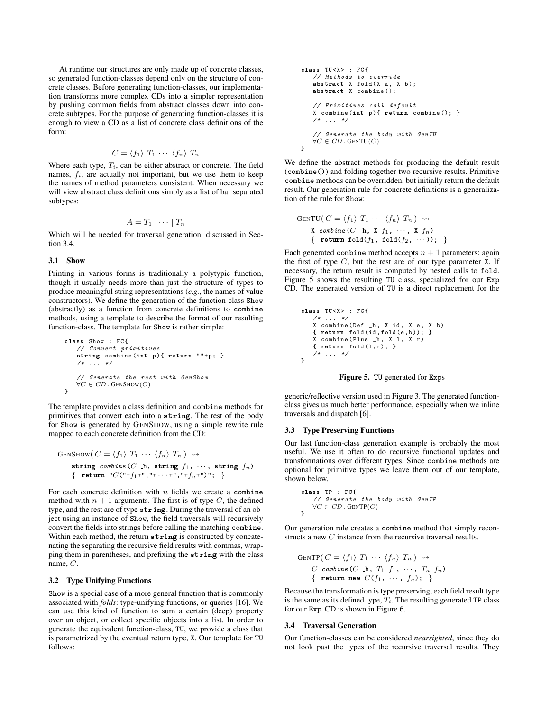At runtime our structures are only made up of concrete classes, so generated function-classes depend only on the structure of concrete classes. Before generating function-classes, our implementation transforms more complex CDs into a simpler representation by pushing common fields from abstract classes down into concrete subtypes. For the purpose of generating function-classes it is enough to view a CD as a list of concrete class definitions of the form:

$$
C = \langle f_1 \rangle T_1 \cdots \langle f_n \rangle T_n
$$

Where each type,  $T_i$ , can be either abstract or concrete. The field names,  $f_i$ , are actually not important, but we use them to keep the names of method parameters consistent. When necessary we will view abstract class definitions simply as a list of bar separated subtypes:

$$
A = T_1 \mid \cdots \mid T_n
$$

Which will be needed for traversal generation, discussed in Section 3.4.

# 3.1 Show

Printing in various forms is traditionally a polytypic function, though it usually needs more than just the structure of types to produce meaningful string representations (*e.g.*, the names of value constructors). We define the generation of the function-class Show (abstractly) as a function from concrete definitions to combine methods, using a template to describe the format of our resulting function-class. The template for Show is rather simple:

class Show : FC { // Convert primitives string combine (int p ){ return ""+ p; } /\* ... \*/ // Generate the rest with GenShow ∀C ∈ CD . GENSHOW(C) }

The template provides a class definition and combine methods for primitives that convert each into a string. The rest of the body for Show is generated by GENSHOW, using a simple rewrite rule mapped to each concrete definition from the CD:

$$
GENSHOW(C = \langle f_1 \rangle T_1 \cdots \langle f_n \rangle T_n) \rightsquigarrow
$$
  
string *combine* (C h, string  $f_1, \cdots$ , string  $f_n$ )  
{ return "C("+ $f_1$ +, "+…+", "+ $f_n$ +")"; }}

For each concrete definition with  $n$  fields we create a combine method with  $n + 1$  arguments. The first is of type C, the defined type, and the rest are of type string. During the traversal of an object using an instance of Show, the field traversals will recursively convert the fields into strings before calling the matching combine. Within each method, the return string is constructed by concatenating the separating the recursive field results with commas, wrapping them in parentheses, and prefixing the string with the class name, C.

# 3.2 Type Unifying Functions

Show is a special case of a more general function that is commonly associated with *folds*: type-unifying functions, or queries [16]. We can use this kind of function to sum a certain (deep) property over an object, or collect specific objects into a list. In order to generate the equivalent function-class, TU, we provide a class that is parametrized by the eventual return type, X. Our template for TU follows:

```
class TU<X> : FC{
   // Methods to override
   abstract X fold (X a, X b);
   abstract X combine ();
   // Primitives call default
   X combine (int p ){ return combine (); }
   /* ... */
   // Generate the body with GenTU
   \forall C \in CD. GENTU(C)}
```
We define the abstract methods for producing the default result (combine()) and folding together two recursive results. Primitive combine methods can be overridden, but initially return the default result. Our generation rule for concrete definitions is a generalization of the rule for Show:

$$
GENTU(C = \langle f_1 \rangle T_1 \cdots \langle f_n \rangle T_n) \rightsquigarrow
$$
  
x combine(C h, x f<sub>1</sub>, ..., x f<sub>n</sub>)  
{ return fold(f<sub>1</sub>, fold(f<sub>2</sub>, ...)); }

Each generated combine method accepts  $n + 1$  parameters: again the first of type  $C$ , but the rest are of our type parameter X. If necessary, the return result is computed by nested calls to fold. Figure 5 shows the resulting TU class, specialized for our Exp CD. The generated version of TU is a direct replacement for the

```
class TU<X> : FC{
    /* ... */
    X combine ( Def _h , X id , X e , X b)
{ return fold (id , fold (e ,b )); }
    X combine (Plus _h, X 1, X r)
    \{ return fold(1,r); \}/* ... */
}
```
Figure 5. TU generated for Exps

generic/reflective version used in Figure 3. The generated functionclass gives us much better performance, especially when we inline traversals and dispatch [6].

## 3.3 Type Preserving Functions

Our last function-class generation example is probably the most useful. We use it often to do recursive functional updates and transformations over different types. Since combine methods are optional for primitive types we leave them out of our template, shown below.

```
class TP : FC {
    // Generate the body with GenTP
    \forall C \in CD \cdot \text{GENTP}(C)}
```
Our generation rule creates a combine method that simply reconstructs a new C instance from the recursive traversal results.

$$
GENTP(C = \langle f_1 \rangle T_1 \cdots \langle f_n \rangle T_n) \rightsquigarrow
$$
  
\n*C* combine(C h, T<sub>1</sub> f<sub>1</sub>, ..., T<sub>n</sub> f<sub>n</sub>)  
\n{ return new  $C(f_1, ..., f_n)$ ; }

Because the transformation is type preserving, each field result type is the same as its defined type,  $T_i$ . The resulting generated TP class for our Exp CD is shown in Figure 6.

# 3.4 Traversal Generation

Our function-classes can be considered *nearsighted*, since they do not look past the types of the recursive traversal results. They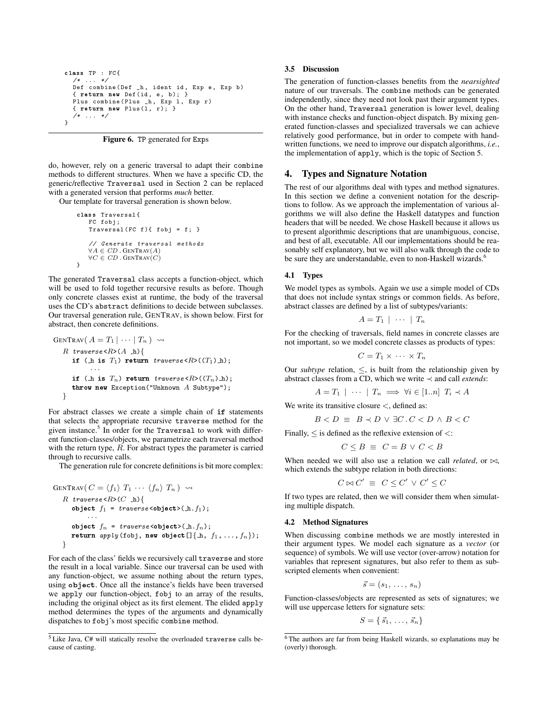```
class TP : FC {
  /* ... */
  Def combine (Def _h, ident id, Exp e, Exp b)
  \{ return new Def(id, e, b); \}Plus combine (Plus _h, Exp 1, Exp r)
  { return new Plus(1, r); }\ldots */
}
```
Figure 6. TP generated for Exps

do, however, rely on a generic traversal to adapt their combine methods to different structures. When we have a specific CD, the generic/reflective Traversal used in Section 2 can be replaced with a generated version that performs *much* better.

Our template for traversal generation is shown below.

```
class Traversal {
   FC fobj ;
   Traversal (FC f) {fobj = f; }// Generate traversal methods
   \forall A \in CD. GENTRAV(A)\forall C \in CD. GENTRAV(C)}
```
The generated Traversal class accepts a function-object, which will be used to fold together recursive results as before. Though only concrete classes exist at runtime, the body of the traversal uses the CD's abstract definitions to decide between subclasses. Our traversal generation rule, GENTRAV, is shown below. First for abstract, then concrete definitions.

$$
GENTRAN(A = T_1 | \cdots | T_n) \rightsquigarrow
$$
  
\n*R* traverse *RR* (A h){  
\nif (h is T<sub>1</sub>) return traverse *RR*((T<sub>1</sub>) h);  
\n...  
\nif (h is T<sub>n</sub>) return traverse *RR*((T<sub>n</sub>) h);  
\nthrow new Exception("Unknown A Subtype");  
\n}

For abstract classes we create a simple chain of if statements that selects the appropriate recursive traverse method for the given instance.<sup>5</sup> In order for the Traversal to work with different function-classes/objects, we parametrize each traversal method with the return type,  $R$ . For abstract types the parameter is carried through to recursive calls.

The generation rule for concrete definitions is bit more complex:

$$
GENTRAN(C = \langle f_1 \rangle T_1 \cdots \langle f_n \rangle T_n) \rightsquigarrow
$$
  
\n*R* traverse *R* & (C\_h)  
\n
$$
Object \ f_1 = traverse object (h.f_1);
$$
  
\n
$$
Object \ f_n = traverse object (h.f_n);
$$
  
\nreturn apply (fobj, new object[] {h, f\_1, ..., f\_n});

For each of the class' fields we recursively call traverse and store the result in a local variable. Since our traversal can be used with any function-object, we assume nothing about the return types, using object. Once all the instance's fields have been traversed we apply our function-object, fobj to an array of the results, including the original object as its first element. The elided apply method determines the types of the arguments and dynamically dispatches to fobj's most specific combine method.

# 3.5 Discussion

The generation of function-classes benefits from the *nearsighted* nature of our traversals. The combine methods can be generated independently, since they need not look past their argument types. On the other hand, Traversal generation is lower level, dealing with instance checks and function-object dispatch. By mixing generated function-classes and specialized traversals we can achieve relatively good performance, but in order to compete with handwritten functions, we need to improve our dispatch algorithms, *i.e.*, the implementation of apply, which is the topic of Section 5.

# 4. Types and Signature Notation

The rest of our algorithms deal with types and method signatures. In this section we define a convenient notation for the descriptions to follow. As we approach the implementation of various algorithms we will also define the Haskell datatypes and function headers that will be needed. We chose Haskell because it allows us to present algorithmic descriptions that are unambiguous, concise, and best of all, executable. All our implementations should be reasonably self explanatory, but we will also walk through the code to be sure they are understandable, even to non-Haskell wizards.<sup>6</sup>

# 4.1 Types

We model types as symbols. Again we use a simple model of CDs that does not include syntax strings or common fields. As before, abstract classes are defined by a list of subtypes/variants:

$$
A = T_1 \mid \cdots \mid T_n
$$

For the checking of traversals, field names in concrete classes are not important, so we model concrete classes as products of types:

$$
C=T_1\times\cdots\times T_n
$$

Our *subtype* relation,  $\leq$ , is built from the relationship given by abstract classes from a CD, which we write ≺ and call *extends*:

$$
A = T_1 \mid \cdots \mid T_n \implies \forall i \in [1..n] \ T_i \prec A
$$

We write its transitive closure  $\lt$ , defined as:

$$
B < D \equiv B \prec D \lor \exists C . C < D \land B < C
$$

Finally,  $\leq$  is defined as the reflexive extension of  $\lt$ :

$$
C \leq B \equiv C = B \lor C < B
$$

When needed we will also use a relation we call *related*, or  $\bowtie$ , which extends the subtype relation in both directions:

$$
C \bowtie C' \equiv C \leq C' \vee C' \leq C
$$

If two types are related, then we will consider them when simulating multiple dispatch.

#### 4.2 Method Signatures

When discussing combine methods we are mostly interested in their argument types. We model each signature as a *vector* (or sequence) of symbols. We will use vector (over-arrow) notation for variables that represent signatures, but also refer to them as subscripted elements when convenient:

$$
\vec{s}=(s_1,\ldots,s_n)
$$

Function-classes/objects are represented as sets of signatures; we will use uppercase letters for signature sets:

$$
S = \{ \vec{s}_1, \ldots, \vec{s}_n \}
$$

<sup>5</sup> Like Java, C# will statically resolve the overloaded traverse calls because of casting.

<sup>6</sup> The authors are far from being Haskell wizards, so explanations may be (overly) thorough.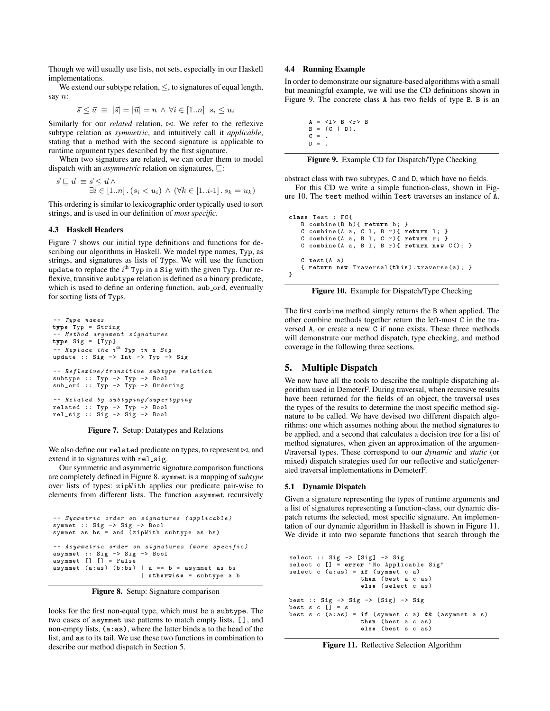Though we will usually use lists, not sets, especially in our Haskell implementations.

We extend our subtype relation,  $\leq$ , to signatures of equal length, say n:

$$
\vec{s} \le \vec{u} \equiv |\vec{s}| = |\vec{u}| = n \land \forall i \in [1..n] \ s_i \le u_i
$$

Similarly for our *related* relation,  $\bowtie$ . We refer to the reflexive subtype relation as *symmetric*, and intuitively call it *applicable*, stating that a method with the second signature is applicable to runtime argument types described by the first signature.

When two signatures are related, we can order them to model dispatch with an *asymmetric* relation on signatures,  $\sqsubseteq$ :

$$
\vec{s} \sqsubseteq \vec{u} \equiv \vec{s} \le \vec{u} \land \exists i \in [1..n] \ . \ (s_i < u_i) \land (\forall k \in [1..i-1] \ . \ s_k = u_k)
$$

This ordering is similar to lexicographic order typically used to sort strings, and is used in our definition of *most specific*.

## 4.3 Haskell Headers

Figure 7 shows our initial type definitions and functions for describing our algorithms in Haskell. We model type names, Typ, as strings, and signatures as lists of Typs. We will use the function update to replace the  $i^{\text{th}}$  Typ in a Sig with the given Typ. Our reflexive, transitive subtype relation is defined as a binary predicate, which is used to define an ordering function, sub\_ord, eventually for sorting lists of Typs.

```
-- Type names
type Typ = String
 -- Method argument signatures
type Sig = [Typ]
-- Replace the i<sup>th</sup> Typ in a Sig<br>update :: Sig -> Int -> Typ -> Sig
-- Reflexive / transitive subtype relation
subtype :: Typ -> Typ -> Bool
sub_ord :: Typ -> Typ -> Ordering
-- Related by subtyping / supertyping
related :: Typ -> Typ -> Bool
rel_sig :: Sig -> Sig -> Bool
```
Figure 7. Setup: Datatypes and Relations

We also define our related predicate on types, to represent  $\bowtie$ , and extend it to signatures with rel\_sig.

Our symmetric and asymmetric signature comparison functions are completely defined in Figure 8. symmet is a mapping of *subtype* over lists of types: zipWith applies our predicate pair-wise to elements from different lists. The function asymmet recursively

```
-- Symmetric order on signatures ( applicable )
symmet :: Sig -> Sig -> Bool
symmet as bs = and (zipWith subtype as bs)
-- Asymmetric order on signatures (more specific)
asymmet :: Sig -> Sig -> Bool
asymmet [] [] = False
asymmet (a:as) (b:bs) | a == b = asymmet as bs
                        | otherwise = subtype a b
```
Figure 8. Setup: Signature comparison

looks for the first non-equal type, which must be a subtype. The two cases of asymmet use patterns to match empty lists, [ ], and non-empty lists, (a:as), where the latter binds a to the head of the list, and as to its tail. We use these two functions in combination to describe our method dispatch in Section 5.

# 4.4 Running Example

In order to demonstrate our signature-based algorithms with a small but meaningful example, we will use the CD definitions shown in Figure 9. The concrete class A has two fields of type B. B is an

> $A = <1> B < r > B$  $B = (C | D).$  $C = .$  $\overline{D}$  = .

| Figure 9. Example CD for Dispatch/Type Checking |  |  |
|-------------------------------------------------|--|--|
|                                                 |  |  |

abstract class with two subtypes, C and D, which have no fields. For this CD we write a simple function-class, shown in Fig-

ure 10. The test method within Test traverses an instance of A.

```
class Test : FC {
   B combine (B b) { return b; }
   C combine (A \ a, C \ 1, B \ r) { return 1; }
   C combine (A a, B 1, C r) { return r; }
   C combine (A \ a, B \ 1, B \ r) { return new C(); }
   C test (A a)
   { return new Traversal (this ). traverse (a ); }
}
```


The first combine method simply returns the B when applied. The other combine methods together return the left-most C in the traversed A, or create a new C if none exists. These three methods will demonstrate our method dispatch, type checking, and method coverage in the following three sections.

# 5. Multiple Dispatch

We now have all the tools to describe the multiple dispatching algorithm used in DemeterF. During traversal, when recursive results have been returned for the fields of an object, the traversal uses the types of the results to determine the most specific method signature to be called. We have devised two different dispatch algorithms: one which assumes nothing about the method signatures to be applied, and a second that calculates a decision tree for a list of method signatures, when given an approximation of the argument/traversal types. These correspond to our *dynamic* and *static* (or mixed) dispatch strategies used for our reflective and static/generated traversal implementations in DemeterF.

# 5.1 Dynamic Dispatch

Given a signature representing the types of runtime arguments and a list of signatures representing a function-class, our dynamic dispatch returns the selected, most specific signature. An implementation of our dynamic algorithm in Haskell is shown in Figure 11. We divide it into two separate functions that search through the

```
select :: Sig -> [ Sig ] -> Sig
select c [] = error " No Applicable Sig "
select c (a:as) = if (symmet c a)then ( best a c as )
else ( select c as )
best :: Sig -> Sig -> [ Sig ] -> Sig
best s c [] = s
best s c (a: as) = if (symmet c a) \&\& (asymmet a s)
                         then ( best a c as )
                         else ( best s c as )
```
Figure 11. Reflective Selection Algorithm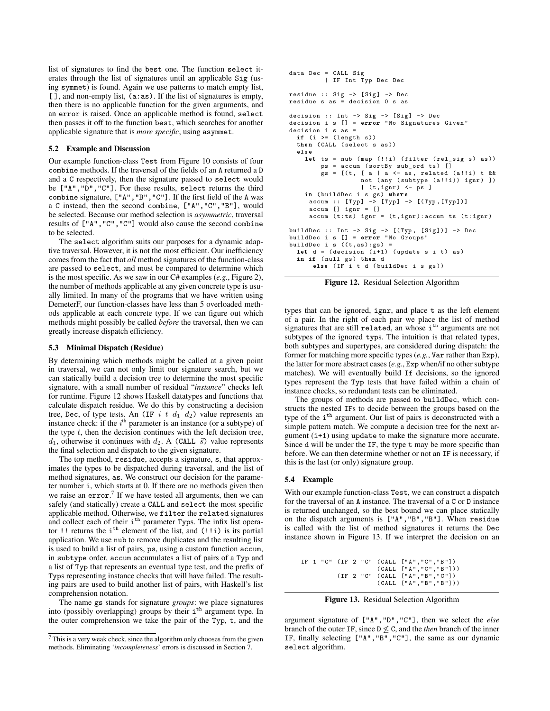list of signatures to find the best one. The function select iterates through the list of signatures until an applicable Sig (using symmet) is found. Again we use patterns to match empty list, [ ], and non-empty list,  $(a:as)$ . If the list of signatures is empty, then there is no applicable function for the given arguments, and an error is raised. Once an applicable method is found, select then passes it off to the function best, which searches for another applicable signature that is *more specific*, using asymmet.

## 5.2 Example and Discussion

Our example function-class Test from Figure 10 consists of four combine methods. If the traversal of the fields of an A returned a D and a C respectively, then the signature passed to select would be  $["A", "\bar{D}"$ , "C"]. For these results, select returns the third combine signature, ["A","B","C"]. If the first field of the A was a C instead, then the second combine, ["A","C","B"], would be selected. Because our method selection is *asymmetric*, traversal results of ["A","C","C"] would also cause the second combine to be selected.

The select algorithm suits our purposes for a dynamic adaptive traversal. However, it is not the most efficient. Our inefficiency comes from the fact that *all* method signatures of the function-class are passed to select, and must be compared to determine which is the most specific. As we saw in our C# examples (*e.g.*, Figure 2), the number of methods applicable at any given concrete type is usually limited. In many of the programs that we have written using DemeterF, our function-classes have less than 5 overloaded methods applicable at each concrete type. If we can figure out which methods might possibly be called *before* the traversal, then we can greatly increase dispatch efficiency.

#### 5.3 Minimal Dispatch (Residue)

By determining which methods might be called at a given point in traversal, we can not only limit our signature search, but we can statically build a decision tree to determine the most specific signature, with a small number of residual "*instance*" checks left for runtime. Figure 12 shows Haskell datatypes and functions that calculate dispatch residue. We do this by constructing a decision tree, Dec, of type tests. An (IF  $i$  t  $d_1$   $d_2$ ) value represents an instance check: if the  $i<sup>th</sup>$  parameter is an instance (or a subtype) of the type  $t$ , then the decision continues with the left decision tree,  $d_1$ , otherwise it continues with  $d_2$ . A (CALL  $\vec{s}$ ) value represents the final selection and dispatch to the given signature.

The top method, residue, accepts a signature, s, that approximates the types to be dispatched during traversal, and the list of method signatures, as. We construct our decision for the parameter number i, which starts at 0. If there are no methods given then we raise an error.<sup>7</sup> If we have tested all arguments, then we can safely (and statically) create a CALL and select the most specific applicable method. Otherwise, we filter the related signatures and collect each of their i<sup>th</sup> parameter Typs. The infix list operator !! returns the  $i<sup>th</sup>$  element of the list, and (!!i) is its partial application. We use nub to remove duplicates and the resulting list is used to build a list of pairs, ps, using a custom function accum, in subtype order. accum accumulates a list of pairs of a Typ and a list of Typ that represents an eventual type test, and the prefix of Typs representing instance checks that will have failed. The resulting pairs are used to build another list of pairs, with Haskell's list comprehension notation.

The name gs stands for signature *groups*: we place signatures into (possibly overlapping) groups by their i<sup>th</sup> argument type. In the outer comprehension we take the pair of the Typ, t, and the

```
data Dec = CALL Sig
          | IF Int Typ Dec Dec
residue :: Sig -> [ Sig ] -> Dec
residue s as = decision 0 s as
decision :: Int -> Sig -> [ Sig ] -> Dec
decision i s [] = error "No Signatures Given"
decision i s as =
  if (i \geq (length s))then (CALL (select s as))
  else
    let ts = nub (map (!!i) (filter (rel_sig s) as))
          ps = accum ( sortBy sub_ord ts ) []
gs = [(t , [ a | a <- as , related (a !! i ) t &&
                     not (any ( subtype (a!!i)) ignr) ])
                     |(t, ignr) \leftarrow ps ]in (buildDec i s gs) where
      accum :: [Typ] -> [Typ] -> [(Typ,[Typ])]<br>accum [] ignr = []
     \texttt{accum}(t : ts) ignr = (t, ignr): \texttt{accum}(t : ignr)buildDec :: Int \rightarrow Sig \rightarrow [(Typ, [Sig])] \rightarrow Dec
buildDec i s [] = error "No Groups"
buildDec i s ((t, as):gs) =
  let d = (decision (i+1) (update s i t) as)in if ( null gs) then d
       else ( IF i t d ( buildDec i s gs ))
```
Figure 12. Residual Selection Algorithm

types that can be ignored, ignr, and place t as the left element of a pair. In the right of each pair we place the list of method signatures that are still related, an whose i<sup>th</sup> arguments are not subtypes of the ignored typs. The intuition is that related types, both subtypes and supertypes, are considered during dispatch: the former for matching more specific types (*e.g.*, Var rather than Exp), the latter for more abstract cases (*e.g.*, Exp when/if no other subtype matches). We will eventually build If decisions, so the ignored types represent the Typ tests that have failed within a chain of instance checks, so redundant tests can be eliminated.

The groups of methods are passed to buildDec, which constructs the nested IFs to decide between the groups based on the type of the i<sup>th</sup> argument. Our list of pairs is deconstructed with a simple pattern match. We compute a decision tree for the next argument  $(i+1)$  using update to make the signature more accurate. Since d will be under the IF, the type t may be more specific than before. We can then determine whether or not an IF is necessary, if this is the last (or only) signature group.

#### 5.4 Example

With our example function-class Test, we can construct a dispatch for the traversal of an A instance. The traversal of a C or D instance is returned unchanged, so the best bound we can place statically on the dispatch arguments is ["A","B","B"]. When residue is called with the list of method signatures it returns the Dec instance shown in Figure 13. If we interpret the decision on an

```
IF 1 "C" (IF 2 "C" (CALL ["A", "C", "B"])
              ( CALL [" A " ," C " ," B "]))
( IF 2 "C" ( CALL [" A " ," B " ," C "])
                              ( CALL [" A " ," B " ," B "]))
```
Figure 13. Residual Selection Algorithm

argument signature of ["A","D","C"], then we select the *else* branch of the outer IF, since  $D \not\leq C$ , and the *then* branch of the inner IF, finally selecting ["A","B","C"], the same as our dynamic select algorithm.

 $7$  This is a very weak check, since the algorithm only chooses from the given methods. Eliminating '*incompleteness*' errors is discussed in Section 7.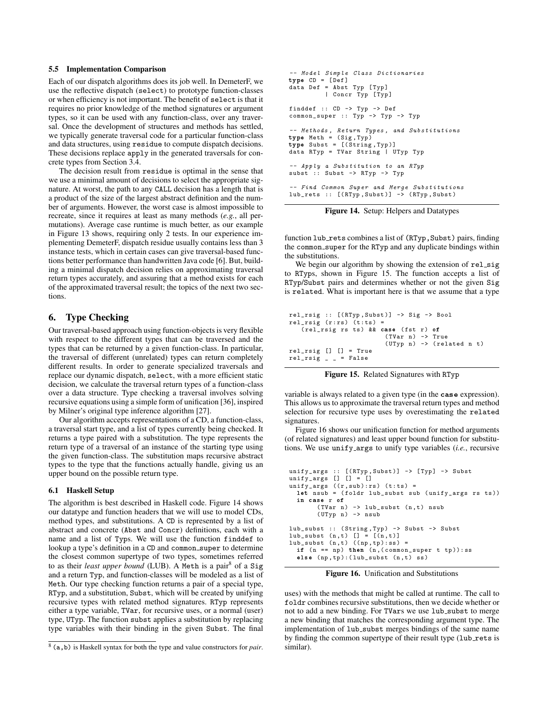## 5.5 Implementation Comparison

Each of our dispatch algorithms does its job well. In DemeterF, we use the reflective dispatch (select) to prototype function-classes or when efficiency is not important. The benefit of select is that it requires no prior knowledge of the method signatures or argument types, so it can be used with any function-class, over any traversal. Once the development of structures and methods has settled, we typically generate traversal code for a particular function-class and data structures, using residue to compute dispatch decisions. These decisions replace apply in the generated traversals for concrete types from Section 3.4.

The decision result from residue is optimal in the sense that we use a minimal amount of decisions to select the appropriate signature. At worst, the path to any CALL decision has a length that is a product of the size of the largest abstract definition and the number of arguments. However, the worst case is almost impossible to recreate, since it requires at least as many methods (*e.g.*, all permutations). Average case runtime is much better, as our example in Figure 13 shows, requiring only 2 tests. In our experience implementing DemeterF, dispatch residue usually contains less than 3 instance tests, which in certain cases can give traversal-based functions better performance than handwritten Java code [6]. But, building a minimal dispatch decision relies on approximating traversal return types accurately, and assuring that a method exists for each of the approximated traversal result; the topics of the next two sections.

# 6. Type Checking

Our traversal-based approach using function-objects is very flexible with respect to the different types that can be traversed and the types that can be returned by a given function-class. In particular, the traversal of different (unrelated) types can return completely different results. In order to generate specialized traversals and replace our dynamic dispatch, select, with a more efficient static decision, we calculate the traversal return types of a function-class over a data structure. Type checking a traversal involves solving recursive equations using a simple form of unification [36], inspired by Milner's original type inference algorithm [27].

Our algorithm accepts representations of a CD, a function-class, a traversal start type, and a list of types currently being checked. It returns a type paired with a substitution. The type represents the return type of a traversal of an instance of the starting type using the given function-class. The substitution maps recursive abstract types to the type that the functions actually handle, giving us an upper bound on the possible return type.

# 6.1 Haskell Setup

The algorithm is best described in Haskell code. Figure 14 shows our datatype and function headers that we will use to model CDs, method types, and substitutions. A CD is represented by a list of abstract and concrete (Abst and Concr) definitions, each with a name and a list of Typs. We will use the function finddef to lookup a type's definition in a CD and common\_super to determine the closest common supertype of two types, sometimes referred to as their *least upper bound* (LUB). A Meth is a pair<sup>8</sup> of a Sig and a return Typ, and function-classes will be modeled as a list of Meth. Our type checking function returns a pair of a special type, RTyp, and a substitution, Subst, which will be created by unifying recursive types with related method signatures. RTyp represents either a type variable, TVar, for recursive uses, or a normal (user) type, UTyp. The function subst applies a substitution by replacing type variables with their binding in the given Subst. The final

```
-- Model Simple Class Dictionaries
type CD = [ Def ]
data Def = Abst Typ [ Typ ]
          | Concr Typ [ Typ ]
finddef :: CD -> Typ -> Def
common_super :: Typ -> Typ -> Typ
-- Methods, Return Types, and Substitutions
type Meth = (Sig, Type)type Subst = [( String , Typ )]
data RTyp = TVar String | UTyp Typ
-- Apply a Substitution to an RTyp
subst :: Subst -> RTyp -> Typ
-- Find Common Super and Merge Substitutions
lub_{\texttt{rets}} :: [(RType, Subst)] \rightarrow (RType, Subst)
```
Figure 14. Setup: Helpers and Datatypes

function lub\_rets combines a list of (RTyp, Subst) pairs, finding the common\_super for the RTyp and any duplicate bindings within the substitutions.

We begin our algorithm by showing the extension of rel\_sig to RTyps, shown in Figure 15. The function accepts a list of RTyp/Subst pairs and determines whether or not the given Sig is related. What is important here is that we assume that a type

```
rel_rsig :: [( RTyp , Subst )] -> Sig -> Bool
rel\_rsig (r:rs) (t:ts) =
   (\text{rel\_rsig}\text{rs ts}) && case (fst r) of
                           ( TVar n) -> True
                           (UType n) -> (related n t)
rel_rsig [] [] = True
rel\_rsig = = False
```
Figure 15. Related Signatures with RTyp

variable is always related to a given type (in the case expression). This allows us to approximate the traversal return types and method selection for recursive type uses by overestimating the related signatures.

Figure 16 shows our unification function for method arguments (of related signatures) and least upper bound function for substitutions. We use unify args to unify type variables (*i.e.*, recursive

```
unify_args :: [(RTyp, Subst)] -> [Typ] -> Subst
unify_args [] [] = []unify_{\texttt{args}} ((r, sub): rs) (t:ts) =
  let nsub = ( foldr lub_subst sub ( unify_args rs ts ))
  in case r of
        (TVar n) \rightarrow lub\_subst (n, t) nsub
        (UType n) -> nsub
lub_subst :: ( String , Typ ) -> Subst -> Subst
lub_subst (n , t) [] = [(n ,t )]
lub_subst (n , t) (( np , tp ): ss ) =
  if (n == np) then (n, (common\_super t tp)): ss
  else (np,tp):(lub_subst (n,t) ss)
```
Figure 16. Unification and Substitutions

uses) with the methods that might be called at runtime. The call to foldr combines recursive substitutions, then we decide whether or not to add a new binding. For TVars we use lub\_subst to merge a new binding that matches the corresponding argument type. The implementation of lub\_subst merges bindings of the same name by finding the common supertype of their result type (lub\_rets is similar).

<sup>8</sup> (a,b) is Haskell syntax for both the type and value constructors for *pair*.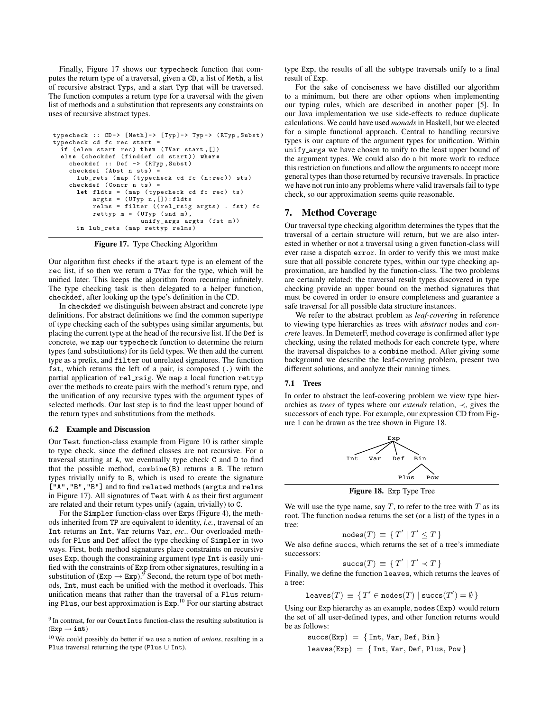Finally, Figure 17 shows our typecheck function that computes the return type of a traversal, given a CD, a list of Meth, a list of recursive abstract Typs, and a start Typ that will be traversed. The function computes a return type for a traversal with the given list of methods and a substitution that represents any constraints on uses of recursive abstract types.

```
typecheck :: CD-> [Meth]-> [Typ]-> Typ-> (RTyp, Subst)
typecheck cd fc rec start =
 if (elem start rec) then (TVar start, [])
 else ( checkdef ( finddef cd start) ) where
   checkdef :: Def -> ( RTyp , Subst )
    checkdef (Abst n sts) =
      lub_rets (map (typecheck cd fc (n:rec)) sts)
    checkdef (Concr n ts) =
      let fldts = (map (typecheck cd for rec) ts)args = (UTyp n, []): fldtsrelms = filter ((rel_rsig argts) . fst) fc
          return p = (UTyp (snd m),unify_args argts (fst m))
      in lub_rets ( map rettyp relms )
```
Figure 17. Type Checking Algorithm

Our algorithm first checks if the start type is an element of the rec list, if so then we return a TVar for the type, which will be unified later. This keeps the algorithm from recurring infinitely. The type checking task is then delegated to a helper function, checkdef, after looking up the type's definition in the CD.

In checkdef we distinguish between abstract and concrete type definitions. For abstract definitions we find the common supertype of type checking each of the subtypes using similar arguments, but placing the current type at the head of the recursive list. If the Def is concrete, we map our typecheck function to determine the return types (and substitutions) for its field types. We then add the current type as a prefix, and filter out unrelated signatures. The function fst, which returns the left of a pair, is composed (.) with the partial application of rel\_rsig. We map a local function rettyp over the methods to create pairs with the method's return type, and the unification of any recursive types with the argument types of selected methods. Our last step is to find the least upper bound of the return types and substitutions from the methods.

# 6.2 Example and Discussion

Our Test function-class example from Figure 10 is rather simple to type check, since the defined classes are not recursive. For a traversal starting at A, we eventually type check C and D to find that the possible method, combine(B) returns a B. The return types trivially unify to B, which is used to create the signature ["A","B","B"] and to find related methods (argts and relms in Figure 17). All signatures of Test with A as their first argument are related and their return types unify (again, trivially) to C.

For the Simpler function-class over Exps (Figure 4), the methods inherited from TP are equivalent to identity, *i.e.*, traversal of an Int returns an Int, Var returns Var, *etc*.. Our overloaded methods for Plus and Def affect the type checking of Simpler in two ways. First, both method signatures place constraints on recursive uses Exp, though the constraining argument type Int is easily unified with the constraints of Exp from other signatures, resulting in a substitution of  $(Exp \rightarrow Exp)^9$ . Second, the return type of bot methods, Int, must each be unified with the method it overloads. This unification means that rather than the traversal of a Plus returning Plus, our best approximation is Exp. <sup>10</sup> For our starting abstract

type Exp, the results of all the subtype traversals unify to a final result of Exp.

For the sake of conciseness we have distilled our algorithm to a minimum, but there are other options when implementing our typing rules, which are described in another paper [5]. In our Java implementation we use side-effects to reduce duplicate calculations. We could have used *monads* in Haskell, but we elected for a simple functional approach. Central to handling recursive types is our capture of the argument types for unification. Within unify args we have chosen to unify to the least upper bound of the argument types. We could also do a bit more work to reduce this restriction on functions and allow the arguments to accept more general types than those returned by recursive traversals. In practice we have not run into any problems where valid traversals fail to type check, so our approximation seems quite reasonable.

# 7. Method Coverage

Our traversal type checking algorithm determines the types that the traversal of a certain structure will return, but we are also interested in whether or not a traversal using a given function-class will ever raise a dispatch error. In order to verify this we must make sure that all possible concrete types, within our type checking approximation, are handled by the function-class. The two problems are certainly related: the traversal result types discovered in type checking provide an upper bound on the method signatures that must be covered in order to ensure completeness and guarantee a safe traversal for all possible data structure instances.

We refer to the abstract problem as *leaf-covering* in reference to viewing type hierarchies as trees with *abstract* nodes and *concrete* leaves. In DemeterF, method coverage is confirmed after type checking, using the related methods for each concrete type, where the traversal dispatches to a combine method. After giving some background we describe the leaf-covering problem, present two different solutions, and analyze their running times.

# 7.1 Trees

In order to abstract the leaf-covering problem we view type hierarchies as *trees* of types where our *extends* relation, ≺, gives the successors of each type. For example, our expression CD from Figure 1 can be drawn as the tree shown in Figure 18.



Figure 18. Exp Type Tree

We will use the type name, say  $T$ , to refer to the tree with  $T$  as its root. The function nodes returns the set (or a list) of the types in a tree:

$$
\mathtt{nodes}(T) \equiv \{T' \mid T' \le T\}
$$

We also define succs, which returns the set of a tree's immediate successors:

$$
\mathtt{succs}(T) \, \equiv \, \{ \, T' \mid T' \prec T \, \}
$$

Finally, we define the function leaves, which returns the leaves of a tree:

$$
\texttt{leaves}(T) \, \equiv \, \{ \, T' \in \texttt{nodes}(T) \mid \texttt{succs}(T') = \emptyset \, \}
$$

Using our Exp hierarchy as an example, nodes(Exp) would return the set of all user-defined types, and other function returns would be as follows:

$$
succs(Exp) = \{ Int, Var, Def, Bin \}
$$
  

$$
leaves(Exp) = \{ Int, Var, Def, Plus, Pow \}
$$

<sup>&</sup>lt;sup>9</sup> In contrast, for our CountInts function-class the resulting substitution is  $(Exp \rightarrow int)$ 

<sup>10</sup> We could possibly do better if we use a notion of *unions*, resulting in a Plus traversal returning the type (Plus ∪ Int).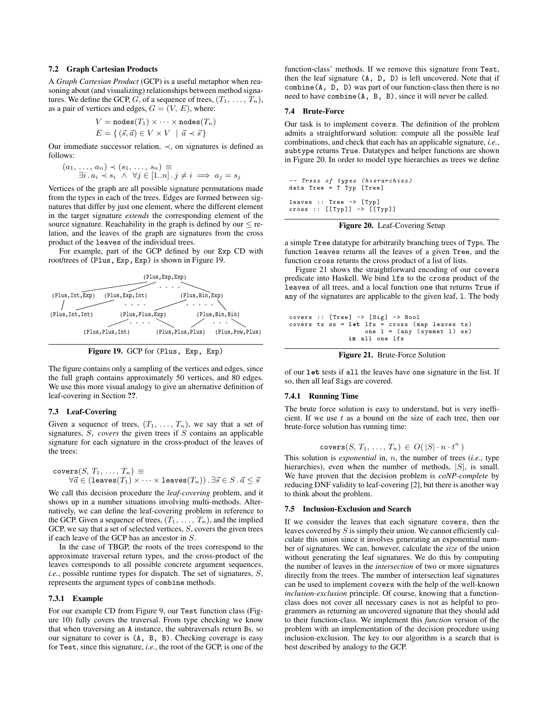## 7.2 Graph Cartesian Products

A *Graph Cartesian Product* (GCP) is a useful metaphor when reasoning about (and visualizing) relationships between method signatures. We define the GCP, G, of a sequence of trees,  $(T_1, \ldots, T_n)$ , as a pair of vertices and edges,  $G = (V, E)$ , where:

$$
V = \text{nodes}(T_1) \times \cdots \times \text{nodes}(T_n)
$$

$$
E = \{ (\vec{s}, \vec{a}) \in V \times V \mid \vec{a} \prec \vec{s} \}
$$

Our immediate successor relation,  $\prec$ , on signatures is defined as follows:

$$
(a_1, \ldots, a_n) \prec (s_1, \ldots, s_n) \equiv \exists i \, . \, a_i \prec s_i \ \land \ \forall j \in [1..n]. \, j \neq i \implies a_j = s_j
$$

Vertices of the graph are all possible signature permutations made from the types in each of the trees. Edges are formed between signatures that differ by just one element, where the different element in the target signature *extends* the corresponding element of the source signature. Reachability in the graph is defined by our  $\leq$  relation, and the leaves of the graph are signatures from the cross product of the leaves of the individual trees.

For example, part of the GCP defined by our Exp CD with root/trees of (Plus, Exp, Exp) is shown in Figure 19.



Figure 19. GCP for (Plus, Exp, Exp)

The figure contains only a sampling of the vertices and edges, since the full graph contains approximately 50 vertices, and 80 edges. We use this more visual analogy to give an alternative definition of leaf-covering in Section ??.

#### 7.3 Leaf-Covering

Given a sequence of trees,  $(T_1, \ldots, T_n)$ , we say that a set of signatures, S, covers the given trees if S contains an applicable signature for each signature in the cross-product of the leaves of the trees:

$$
\mathsf{covers}(S, T_1, \dots, T_n) \equiv \forall \vec{a} \in (\mathsf{leaves}(T_1) \times \dots \times \mathsf{leaves}(T_n)). \exists \vec{s} \in S. \vec{a} \le \vec{s}
$$

We call this decision procedure the *leaf-covering* problem, and it shows up in a number situations involving multi-methods. Alternatively, we can define the leaf-covering problem in reference to the GCP. Given a sequence of trees,  $(T_1, \ldots, T_n)$ , and the implied GCP, we say that a set of selected vertices,  $S$ , covers the given trees if each leave of the GCP has an ancestor in S.

In the case of TBGP, the roots of the trees correspond to the approximate traversal return types, and the cross-product of the leaves corresponds to all possible concrete argument sequences, *i.e.*, possible runtime types for dispatch. The set of signatures, S, represents the argument types of combine methods.

#### 7.3.1 Example

For our example CD from Figure 9, our Test function class (Figure 10) fully covers the traversal. From type checking we know that when traversing an A instance, the subtraversals return Bs, so our signature to cover is (A, B, B). Checking coverage is easy for Test, since this signature, *i.e.*, the root of the GCP, is one of the

function-class' methods. If we remove this signature from Test, then the leaf signature (A, D, D) is left uncovered. Note that if combine(A, D, D) was part of our function-class then there is no need to have combine(A, B, B), since it will never be called.

#### 7.4 Brute-Force

Our task is to implement covers. The definition of the problem admits a straightforward solution: compute all the possible leaf combinations, and check that each has an applicable signature, *i.e.*, subtype returns True. Datatypes and helper functions are shown in Figure 20. In order to model type hierarchies as trees we define

```
-- Trees of types ( hierarchies )
data Tree = T Typ [Tree]
leaves :: Tree -> [Typ]
cross :: [[Typ]] \rightarrow [[Typ]]
```
# Figure 20. Leaf-Covering Setup

a simple Tree datatype for arbitrarily branching trees of Typs. The function leaves returns all the leaves of a given Tree, and the function cross returns the cross product of a list of lists.

Figure 21 shows the straightforward encoding of our covers predicate into Haskell. We bind lfs to the cross product of the leaves of all trees, and a local function one that returns True if any of the signatures are applicable to the given leaf, 1. The body

```
covers :: [Tree] -> [Sig] -> Bool
covers ts ss = let lfs = \csc (map leaves ts)
                    one l = \text{(any (symmet 1) ss)}in all one lfs
```
Figure 21. Brute-Force Solution

of our let tests if all the leaves have one signature in the list. If so, then all leaf Sigs are covered.

#### 7.4.1 Running Time

The brute force solution is easy to understand, but is very inefficient. If we use  $t$  as a bound on the size of each tree, then our brute-force solution has running time:

$$
\mathsf{covers}(S, T_1, \ldots, T_n) \in O(|S| \cdot n \cdot t^n)
$$

This solution is *exponential* in, n, the number of trees (*i.e.*, type hierarchies), even when the number of methods,  $|S|$ , is small. We have proven that the decision problem is *coNP-complete* by reducing DNF validity to leaf-covering [2], but there is another way to think about the problem.

## 7.5 Inclusion-Exclusion and Search

If we consider the leaves that each signature covers, then the leaves covered by  $S$  is simply their union. We cannot efficiently calculate this union since it involves generating an exponential number of signatures. We can, however, calculate the *size* of the union without generating the leaf signatures. We do this by computing the number of leaves in the *intersection* of two or more signatures directly from the trees. The number of intersection leaf signatures can be used to implement covers with the help of the well-known *inclusion-exclusion* principle. Of course, knowing that a functionclass does not cover all necessary cases is not as helpful to programmers as returning an uncovered signature that they should add to their function-class. We implement this *function* version of the problem with an implementation of the decision procedure using inclusion-exclusion. The key to our algorithm is a search that is best described by analogy to the GCP.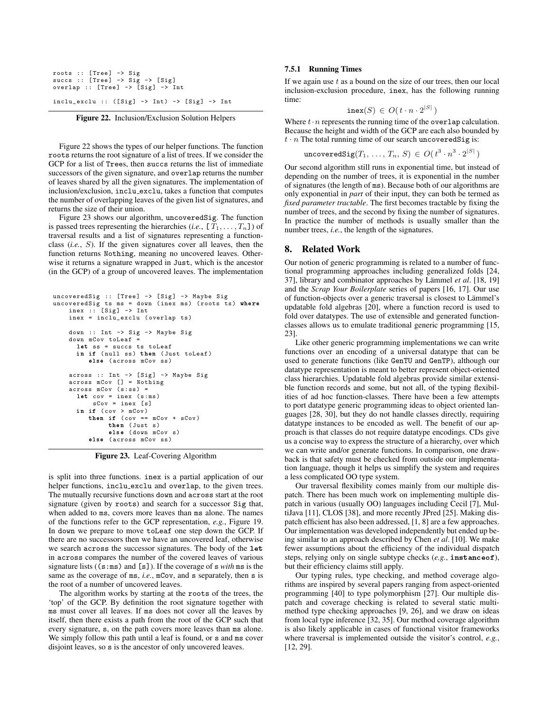```
roots :: [ Tree ] -> Sig
succs :: [Tree] -> Sig -> [Sig]
overlap :: [Tree] \rightarrow [Sig] \rightarrow Int
include\_exclu :: ([Sig] \rightarrow Int) \rightarrow [Sig] \rightarrow Int
```
Figure 22. Inclusion/Exclusion Solution Helpers

Figure 22 shows the types of our helper functions. The function roots returns the root signature of a list of trees. If we consider the GCP for a list of Trees, then succs returns the list of immediate successors of the given signature, and overlap returns the number of leaves shared by all the given signatures. The implementation of inclusion/exclusion, inclu exclu, takes a function that computes the number of overlapping leaves of the given list of signatures, and returns the size of their union.

Figure 23 shows our algorithm, uncoveredSig. The function is passed trees representing the hierarchies  $(i.e., [T_1, \ldots, T_n])$  of traversal results and a list of signatures representing a functionclass (*i.e.*, S). If the given signatures cover all leaves, then the function returns Nothing, meaning no uncovered leaves. Otherwise it returns a signature wrapped in Just, which is the ancestor (in the GCP) of a group of uncovered leaves. The implementation

```
uncoveredSig :: [Tree] -> [Sig] -> Maybe Sig
uncoveredSig ts ms = down (inex ms) (roots ts) where<br>inex :: [Sig] -> Int
    inex = inclu_exclu ( overlap ts )
    down :: Int -> Sig -> Maybe Sig
    down mCov toLeaf =
      let ss = succs ts toLeaf
      in if (null ss) then (Just toLeaf)
         else ( across mCov ss )
    across :: Int -> [Sig] -> Maybe Sig
    across mCov [] = Nothing
    across mCov (s: ss) =let cov = inex (s:ms)sCov = inex [s]
      in if (cov > mCov)then if (cov == mCov + sCov)then ( Just s)
               else ( down mCov s)
         else ( across mCov ss )
```
Figure 23. Leaf-Covering Algorithm

is split into three functions. inex is a partial application of our helper functions, inclu\_exclu and overlap, to the given trees. The mutually recursive functions down and across start at the root signature (given by roots) and search for a successor Sig that, when added to ms, covers more leaves than ms alone. The names of the functions refer to the GCP representation, *e.g.*, Figure 19. In down we prepare to move toLeaf one step down the GCP. If there are no successors then we have an uncovered leaf, otherwise we search across the successor signatures. The body of the let in across compares the number of the covered leaves of various signature lists ((s:ms) and [s]). If the coverage of s *with* ms is the same as the coverage of ms, *i.e.*, mCov, and s separately, then s is the root of a number of uncovered leaves.

The algorithm works by starting at the roots of the trees, the 'top' of the GCP. By definition the root signature together with ms must cover all leaves. If ms does not cover all the leaves by itself, then there exists a path from the root of the GCP such that every signature, s, on the path covers more leaves than ms alone. We simply follow this path until a leaf is found, or s and ms cover disjoint leaves, so s is the ancestor of only uncovered leaves.

# 7.5.1 Running Times

If we again use  $t$  as a bound on the size of our trees, then our local inclusion-exclusion procedure, inex, has the following running time:

$$
\mathtt{inex}(S) \in O(t \cdot n \cdot 2^{|S|})
$$

Where  $t \cdot n$  represents the running time of the overlap calculation. Because the height and width of the GCP are each also bounded by  $t \cdot n$  The total running time of our search uncovered Sig is:

uncoveredSig
$$
(T_1, \ldots, T_n, S) \in O(t^3 \cdot n^3 \cdot 2^{|S|})
$$

Our second algorithm still runs in exponential time, but instead of depending on the number of trees, it is exponential in the number of signatures (the length of ms). Because both of our algorithms are only exponential in *part* of their input, they can both be termed as *fixed parameter tractable*. The first becomes tractable by fixing the number of trees, and the second by fixing the number of signatures. In practice the number of methods is usually smaller than the number trees, *i.e.*, the length of the signatures.

# 8. Related Work

Our notion of generic programming is related to a number of functional programming approaches including generalized folds [24, 37], library and combinator approaches by Lämmel et al. [18, 19] and the *Scrap Your Boilerplate* series of papers [16, 17]. Our use of function-objects over a generic traversal is closest to Lämmel's updatable fold algebras [20], where a function record is used to fold over datatypes. The use of extensible and generated functionclasses allows us to emulate traditional generic programming [15, 23].

Like other generic programming implementations we can write functions over an encoding of a universal datatype that can be used to generate functions (like GenTU and GenTP), although our datatype representation is meant to better represent object-oriented class hierarchies. Updatable fold algebras provide similar extensible function records and some, but not all, of the typing flexibilities of ad hoc function-classes. There have been a few attempts to port datatype generic programming ideas to object oriented languages [28, 30], but they do not handle classes directly, requiring datatype instances to be encoded as well. The benefit of our approach is that classes do not require datatype encodings. CDs give us a concise way to express the structure of a hierarchy, over which we can write and/or generate functions. In comparison, one drawback is that safety must be checked from outside our implementation language, though it helps us simplify the system and requires a less complicated OO type system.

Our traversal flexibility comes mainly from our multiple dispatch. There has been much work on implementing multiple dispatch in various (usually OO) languages including Cecil [7], MultiJava [11], CLOS [38], and more recently JPred [25]. Making dispatch efficient has also been addressed, [1, 8] are a few approaches. Our implementation was developed independently but ended up being similar to an approach described by Chen *et al*. [10]. We make fewer assumptions about the efficiency of the individual dispatch steps, relying only on single subtype checks (*e.g.*, instanceof), but their efficiency claims still apply.

Our typing rules, type checking, and method coverage algorithms are inspired by several papers ranging from aspect-oriented programming [40] to type polymorphism [27]. Our multiple dispatch and coverage checking is related to several static multimethod type checking approaches [9, 26], and we draw on ideas from local type inference [32, 35]. Our method coverage algorithm is also likely applicable in cases of functional visitor frameworks where traversal is implemented outside the visitor's control, *e.g.*, [12, 29].